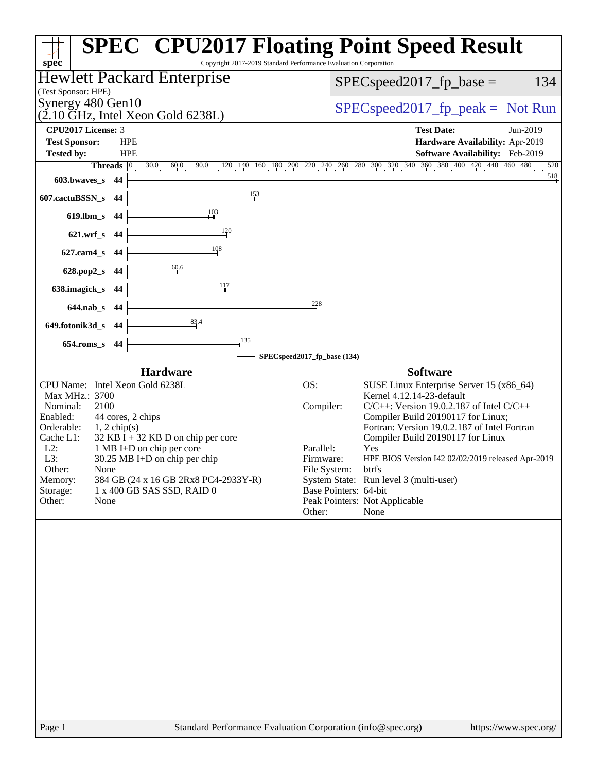| Copyright 2017-2019 Standard Performance Evaluation Corporation<br>spec <sup>®</sup>                                                                                                                                                                                                                                                                                                                          | <b>SPEC<sup>®</sup> CPU2017 Floating Point Speed Result</b>                                                                                                                                                                                                                                                                                                                                                                                                                                                |
|---------------------------------------------------------------------------------------------------------------------------------------------------------------------------------------------------------------------------------------------------------------------------------------------------------------------------------------------------------------------------------------------------------------|------------------------------------------------------------------------------------------------------------------------------------------------------------------------------------------------------------------------------------------------------------------------------------------------------------------------------------------------------------------------------------------------------------------------------------------------------------------------------------------------------------|
| Hewlett Packard Enterprise                                                                                                                                                                                                                                                                                                                                                                                    | $SPEC speed2017_fp\_base =$<br>134                                                                                                                                                                                                                                                                                                                                                                                                                                                                         |
| (Test Sponsor: HPE)<br>Synergy 480 Gen10                                                                                                                                                                                                                                                                                                                                                                      | $SPEC speed2017rfp peak = Not Run$                                                                                                                                                                                                                                                                                                                                                                                                                                                                         |
| $(2.10 \text{ GHz}, \text{Intel Xeon Gold } 6238L)$                                                                                                                                                                                                                                                                                                                                                           |                                                                                                                                                                                                                                                                                                                                                                                                                                                                                                            |
| CPU2017 License: 3<br><b>Test Sponsor:</b><br><b>HPE</b>                                                                                                                                                                                                                                                                                                                                                      | <b>Test Date:</b><br>Jun-2019<br>Hardware Availability: Apr-2019                                                                                                                                                                                                                                                                                                                                                                                                                                           |
| <b>Tested by:</b><br><b>HPE</b>                                                                                                                                                                                                                                                                                                                                                                               | Software Availability: Feb-2019                                                                                                                                                                                                                                                                                                                                                                                                                                                                            |
| Threads $ 0 $                                                                                                                                                                                                                                                                                                                                                                                                 | $30.0 \qquad 60.0 \qquad 90.0 \qquad 120 \qquad 140 \qquad 160 \qquad 180 \qquad 200 \qquad 220 \qquad 240 \qquad 260 \qquad 280 \qquad 300 \qquad 320 \qquad 340 \qquad 360 \qquad 380 \qquad 400 \qquad 420 \qquad 440 \qquad 460 \qquad 480$<br>520<br>518                                                                                                                                                                                                                                              |
| 603.bwaves_s<br>44<br>$\frac{153}{2}$                                                                                                                                                                                                                                                                                                                                                                         |                                                                                                                                                                                                                                                                                                                                                                                                                                                                                                            |
| 607.cactuBSSN_s<br>-44<br>103                                                                                                                                                                                                                                                                                                                                                                                 |                                                                                                                                                                                                                                                                                                                                                                                                                                                                                                            |
| $619$ .lbm_s<br>-44<br>120                                                                                                                                                                                                                                                                                                                                                                                    |                                                                                                                                                                                                                                                                                                                                                                                                                                                                                                            |
| $621.wrf$ <sub>S</sub><br>-44<br>108                                                                                                                                                                                                                                                                                                                                                                          |                                                                                                                                                                                                                                                                                                                                                                                                                                                                                                            |
| $627$ .cam $4s$<br>44<br>60.6                                                                                                                                                                                                                                                                                                                                                                                 |                                                                                                                                                                                                                                                                                                                                                                                                                                                                                                            |
| 628.pop2_s<br>-44<br>117                                                                                                                                                                                                                                                                                                                                                                                      |                                                                                                                                                                                                                                                                                                                                                                                                                                                                                                            |
| 638.imagick_s<br>44                                                                                                                                                                                                                                                                                                                                                                                           | 228                                                                                                                                                                                                                                                                                                                                                                                                                                                                                                        |
| $644$ .nab_s<br>- 44<br>83.4<br>649.fotonik3d_s 44                                                                                                                                                                                                                                                                                                                                                            |                                                                                                                                                                                                                                                                                                                                                                                                                                                                                                            |
| 135<br>$654$ .roms_s<br>44                                                                                                                                                                                                                                                                                                                                                                                    |                                                                                                                                                                                                                                                                                                                                                                                                                                                                                                            |
|                                                                                                                                                                                                                                                                                                                                                                                                               | SPECspeed2017_fp_base (134)                                                                                                                                                                                                                                                                                                                                                                                                                                                                                |
| <b>Hardware</b>                                                                                                                                                                                                                                                                                                                                                                                               | <b>Software</b>                                                                                                                                                                                                                                                                                                                                                                                                                                                                                            |
| CPU Name: Intel Xeon Gold 6238L<br>Max MHz.: 3700<br>2100<br>Nominal:<br>44 cores, 2 chips<br>Enabled:<br>Orderable:<br>$1, 2$ chip(s)<br>$32$ KB I + 32 KB D on chip per core<br>Cache L1:<br>1 MB I+D on chip per core<br>$L2$ :<br>L3:<br>$30.25$ MB I+D on chip per chip<br>Other:<br>None<br>Memory:<br>384 GB (24 x 16 GB 2Rx8 PC4-2933Y-R)<br>Storage:<br>1 x 400 GB SAS SSD, RAID 0<br>Other:<br>None | OS:<br>SUSE Linux Enterprise Server 15 (x86_64)<br>Kernel 4.12.14-23-default<br>Compiler:<br>$C/C++$ : Version 19.0.2.187 of Intel $C/C++$<br>Compiler Build 20190117 for Linux;<br>Fortran: Version 19.0.2.187 of Intel Fortran<br>Compiler Build 20190117 for Linux<br>Parallel:<br>Yes<br>Firmware:<br>HPE BIOS Version I42 02/02/2019 released Apr-2019<br>File System:<br>btrfs<br>System State: Run level 3 (multi-user)<br>Base Pointers: 64-bit<br>Peak Pointers: Not Applicable<br>None<br>Other: |
| Page 1<br>Standard Performance Evaluation Corporation (info@spec.org)                                                                                                                                                                                                                                                                                                                                         | https://www.spec.org/                                                                                                                                                                                                                                                                                                                                                                                                                                                                                      |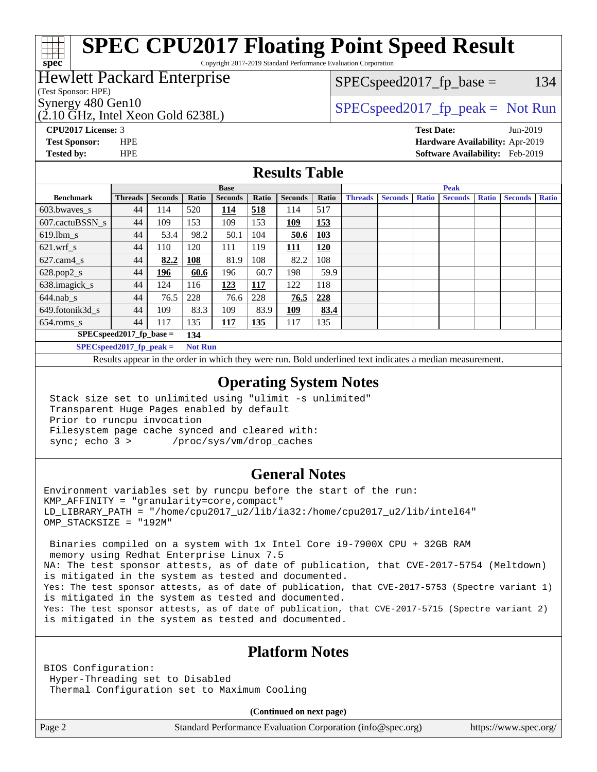# **[SPEC CPU2017 Floating Point Speed Result](http://www.spec.org/auto/cpu2017/Docs/result-fields.html#SPECCPU2017FloatingPointSpeedResult)**

Copyright 2017-2019 Standard Performance Evaluation Corporation

### Hewlett Packard Enterprise

(Test Sponsor: HPE)

**[spec](http://www.spec.org/)**

(2.10 GHz, Intel Xeon Gold 6238L)

 $SPEC speed2017_fp\_base = 134$ 

### Synergy 480 Gen10  $SPEC speed2017$  fp\_peak = Not Run

**[CPU2017 License:](http://www.spec.org/auto/cpu2017/Docs/result-fields.html#CPU2017License)** 3 **[Test Date:](http://www.spec.org/auto/cpu2017/Docs/result-fields.html#TestDate)** Jun-2019 **[Test Sponsor:](http://www.spec.org/auto/cpu2017/Docs/result-fields.html#TestSponsor)** HPE **[Hardware Availability:](http://www.spec.org/auto/cpu2017/Docs/result-fields.html#HardwareAvailability)** Apr-2019 **[Tested by:](http://www.spec.org/auto/cpu2017/Docs/result-fields.html#Testedby)** HPE **[Software Availability:](http://www.spec.org/auto/cpu2017/Docs/result-fields.html#SoftwareAvailability)** Feb-2019

### **[Results Table](http://www.spec.org/auto/cpu2017/Docs/result-fields.html#ResultsTable)**

|                            | <b>Base</b>                |                |                |                |       | <b>Peak</b>    |            |                |                |              |                |              |                |              |
|----------------------------|----------------------------|----------------|----------------|----------------|-------|----------------|------------|----------------|----------------|--------------|----------------|--------------|----------------|--------------|
| <b>Benchmark</b>           | <b>Threads</b>             | <b>Seconds</b> | Ratio          | <b>Seconds</b> | Ratio | <b>Seconds</b> | Ratio      | <b>Threads</b> | <b>Seconds</b> | <b>Ratio</b> | <b>Seconds</b> | <b>Ratio</b> | <b>Seconds</b> | <b>Ratio</b> |
| 603.bwayes s               | 44                         | 114            | 520            | 114            | 518   | 114            | 517        |                |                |              |                |              |                |              |
| 607.cactuBSSN s            | 44                         | 109            | 153            | 109            | 153   | 109            | 153        |                |                |              |                |              |                |              |
| $619.$ lbm s               | 44                         | 53.4           | 98.2           | 50.1           | 104   | 50.6           | <b>103</b> |                |                |              |                |              |                |              |
| $621.wrf$ s                | 44                         | 110            | 120            | 111            | 119   | 111            | 120        |                |                |              |                |              |                |              |
| $627.cam4_s$               | 44                         | 82.2           | 108            | 81.9           | 108   | 82.2           | 108        |                |                |              |                |              |                |              |
| $628.pop2_s$               | 44                         | <u>196</u>     | 60.6           | 196            | 60.7  | 198            | 59.9       |                |                |              |                |              |                |              |
| 638.imagick_s              | 44                         | 124            | 116            | 123            | 117   | 122            | 118        |                |                |              |                |              |                |              |
| $644$ .nab s               | 44                         | 76.5           | 228            | 76.6           | 228   | 76.5           | 228        |                |                |              |                |              |                |              |
| 649.fotonik3d s            | 44                         | 109            | 83.3           | 109            | 83.9  | <u> 109</u>    | 83.4       |                |                |              |                |              |                |              |
| $654$ .roms s              | 44                         | 117            | 135            | <b>117</b>     | 135   | 117            | 135        |                |                |              |                |              |                |              |
|                            | $SPEC speed2017$ fp base = |                | 134            |                |       |                |            |                |                |              |                |              |                |              |
| $SPECspeed2017_fp\_peak =$ |                            |                | <b>Not Run</b> |                |       |                |            |                |                |              |                |              |                |              |

Results appear in the [order in which they were run.](http://www.spec.org/auto/cpu2017/Docs/result-fields.html#RunOrder) Bold underlined text [indicates a median measurement](http://www.spec.org/auto/cpu2017/Docs/result-fields.html#Median).

### **[Operating System Notes](http://www.spec.org/auto/cpu2017/Docs/result-fields.html#OperatingSystemNotes)**

 Stack size set to unlimited using "ulimit -s unlimited" Transparent Huge Pages enabled by default Prior to runcpu invocation Filesystem page cache synced and cleared with: sync; echo 3 > /proc/sys/vm/drop\_caches

### **[General Notes](http://www.spec.org/auto/cpu2017/Docs/result-fields.html#GeneralNotes)**

Environment variables set by runcpu before the start of the run: KMP\_AFFINITY = "granularity=core,compact" LD\_LIBRARY\_PATH = "/home/cpu2017\_u2/lib/ia32:/home/cpu2017\_u2/lib/intel64" OMP\_STACKSIZE = "192M"

 Binaries compiled on a system with 1x Intel Core i9-7900X CPU + 32GB RAM memory using Redhat Enterprise Linux 7.5 NA: The test sponsor attests, as of date of publication, that CVE-2017-5754 (Meltdown) is mitigated in the system as tested and documented. Yes: The test sponsor attests, as of date of publication, that CVE-2017-5753 (Spectre variant 1) is mitigated in the system as tested and documented. Yes: The test sponsor attests, as of date of publication, that CVE-2017-5715 (Spectre variant 2) is mitigated in the system as tested and documented.

### **[Platform Notes](http://www.spec.org/auto/cpu2017/Docs/result-fields.html#PlatformNotes)**

BIOS Configuration: Hyper-Threading set to Disabled Thermal Configuration set to Maximum Cooling

**(Continued on next page)**

Page 2 Standard Performance Evaluation Corporation [\(info@spec.org\)](mailto:info@spec.org) <https://www.spec.org/>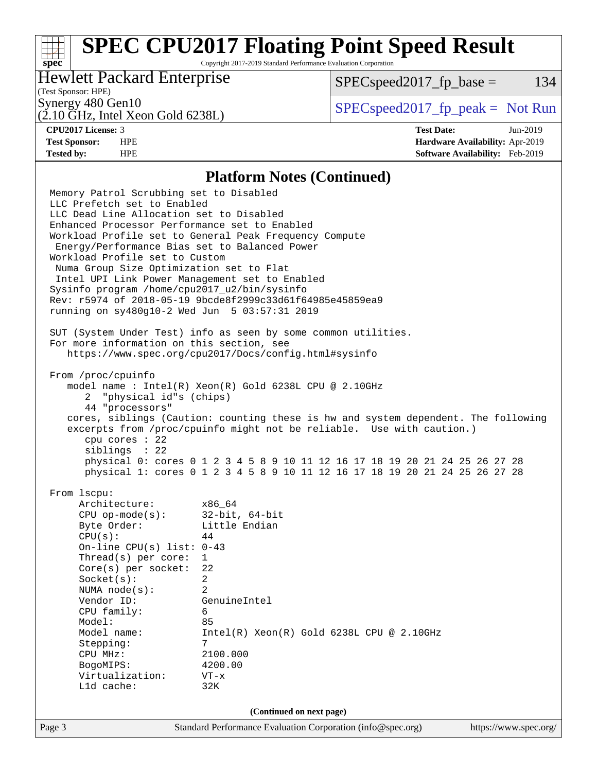# **[SPEC CPU2017 Floating Point Speed Result](http://www.spec.org/auto/cpu2017/Docs/result-fields.html#SPECCPU2017FloatingPointSpeedResult)**

Copyright 2017-2019 Standard Performance Evaluation Corporation

### Hewlett Packard Enterprise

 $SPEC speed2017_fp\_base = 134$ 

### (Test Sponsor: HPE)

(2.10 GHz, Intel Xeon Gold 6238L)

Synergy 480 Gen10  $S^{perg}$  [SPECspeed2017\\_fp\\_peak =](http://www.spec.org/auto/cpu2017/Docs/result-fields.html#SPECspeed2017fppeak) Not Run

**[spec](http://www.spec.org/)**

**[CPU2017 License:](http://www.spec.org/auto/cpu2017/Docs/result-fields.html#CPU2017License)** 3 **[Test Date:](http://www.spec.org/auto/cpu2017/Docs/result-fields.html#TestDate)** Jun-2019 **[Test Sponsor:](http://www.spec.org/auto/cpu2017/Docs/result-fields.html#TestSponsor)** HPE **[Hardware Availability:](http://www.spec.org/auto/cpu2017/Docs/result-fields.html#HardwareAvailability)** Apr-2019 **[Tested by:](http://www.spec.org/auto/cpu2017/Docs/result-fields.html#Testedby)** HPE **[Software Availability:](http://www.spec.org/auto/cpu2017/Docs/result-fields.html#SoftwareAvailability)** Feb-2019

### **[Platform Notes \(Continued\)](http://www.spec.org/auto/cpu2017/Docs/result-fields.html#PlatformNotes)**

Page 3 Standard Performance Evaluation Corporation [\(info@spec.org\)](mailto:info@spec.org) <https://www.spec.org/> Memory Patrol Scrubbing set to Disabled LLC Prefetch set to Enabled LLC Dead Line Allocation set to Disabled Enhanced Processor Performance set to Enabled Workload Profile set to General Peak Frequency Compute Energy/Performance Bias set to Balanced Power Workload Profile set to Custom Numa Group Size Optimization set to Flat Intel UPI Link Power Management set to Enabled Sysinfo program /home/cpu2017\_u2/bin/sysinfo Rev: r5974 of 2018-05-19 9bcde8f2999c33d61f64985e45859ea9 running on sy480g10-2 Wed Jun 5 03:57:31 2019 SUT (System Under Test) info as seen by some common utilities. For more information on this section, see <https://www.spec.org/cpu2017/Docs/config.html#sysinfo> From /proc/cpuinfo model name : Intel(R) Xeon(R) Gold 6238L CPU @ 2.10GHz 2 "physical id"s (chips) 44 "processors" cores, siblings (Caution: counting these is hw and system dependent. The following excerpts from /proc/cpuinfo might not be reliable. Use with caution.) cpu cores : 22 siblings : 22 physical 0: cores 0 1 2 3 4 5 8 9 10 11 12 16 17 18 19 20 21 24 25 26 27 28 physical 1: cores 0 1 2 3 4 5 8 9 10 11 12 16 17 18 19 20 21 24 25 26 27 28 From lscpu: Architecture: x86\_64 CPU op-mode(s): 32-bit, 64-bit Byte Order: Little Endian  $CPU(s):$  44 On-line CPU(s) list: 0-43 Thread(s) per core: 1 Core(s) per socket: 22 Socket(s): 2 NUMA node(s): 2 Vendor ID: GenuineIntel CPU family: 6 Model: 85 Model name: Intel(R) Xeon(R) Gold 6238L CPU @ 2.10GHz Stepping: 7 CPU MHz: 2100.000 BogoMIPS: 4200.00 Virtualization: VT-x L1d cache: 32K **(Continued on next page)**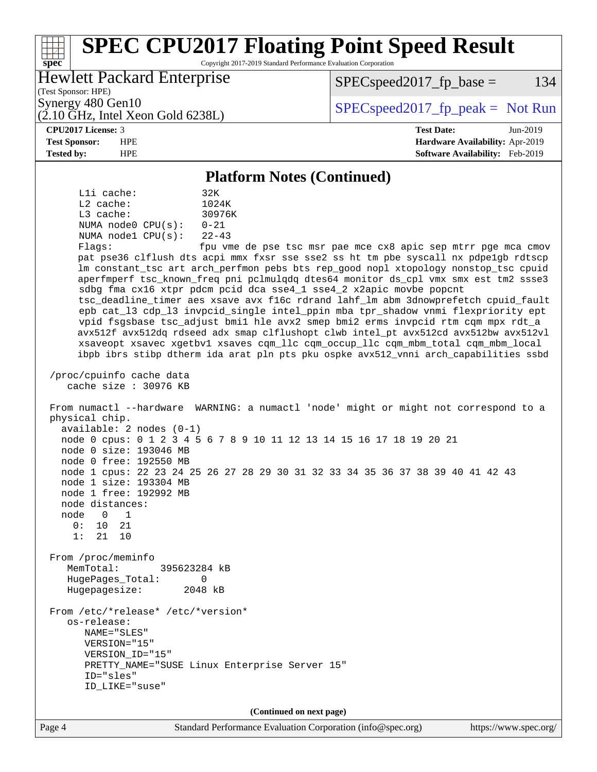### Page 4 Standard Performance Evaluation Corporation [\(info@spec.org\)](mailto:info@spec.org) <https://www.spec.org/> **[spec](http://www.spec.org/) [SPEC CPU2017 Floating Point Speed Result](http://www.spec.org/auto/cpu2017/Docs/result-fields.html#SPECCPU2017FloatingPointSpeedResult)** Copyright 2017-2019 Standard Performance Evaluation Corporation (Test Sponsor: HPE) Hewlett Packard Enterprise (2.10 GHz, Intel Xeon Gold 6238L) Synergy 480 Gen10  $S^{per}$  [SPECspeed2017\\_fp\\_peak =](http://www.spec.org/auto/cpu2017/Docs/result-fields.html#SPECspeed2017fppeak) Not Run  $SPEC speed2017_fp\_base = 134$ **[CPU2017 License:](http://www.spec.org/auto/cpu2017/Docs/result-fields.html#CPU2017License)** 3 **[Test Date:](http://www.spec.org/auto/cpu2017/Docs/result-fields.html#TestDate)** Jun-2019 **[Test Sponsor:](http://www.spec.org/auto/cpu2017/Docs/result-fields.html#TestSponsor)** HPE **[Hardware Availability:](http://www.spec.org/auto/cpu2017/Docs/result-fields.html#HardwareAvailability)** Apr-2019 **[Tested by:](http://www.spec.org/auto/cpu2017/Docs/result-fields.html#Testedby)** HPE **[Software Availability:](http://www.spec.org/auto/cpu2017/Docs/result-fields.html#SoftwareAvailability)** Feb-2019 **[Platform Notes \(Continued\)](http://www.spec.org/auto/cpu2017/Docs/result-fields.html#PlatformNotes)** L1i cache: 32K L2 cache: 1024K L3 cache: 30976K NUMA node0 CPU(s): 0-21 NUMA node1 CPU(s): 22-43 Flags: fpu vme de pse tsc msr pae mce cx8 apic sep mtrr pge mca cmov pat pse36 clflush dts acpi mmx fxsr sse sse2 ss ht tm pbe syscall nx pdpe1gb rdtscp lm constant\_tsc art arch\_perfmon pebs bts rep\_good nopl xtopology nonstop\_tsc cpuid aperfmperf tsc\_known\_freq pni pclmulqdq dtes64 monitor ds\_cpl vmx smx est tm2 ssse3 sdbg fma cx16 xtpr pdcm pcid dca sse4\_1 sse4\_2 x2apic movbe popcnt tsc\_deadline\_timer aes xsave avx f16c rdrand lahf\_lm abm 3dnowprefetch cpuid\_fault epb cat\_l3 cdp\_l3 invpcid\_single intel\_ppin mba tpr\_shadow vnmi flexpriority ept vpid fsgsbase tsc\_adjust bmi1 hle avx2 smep bmi2 erms invpcid rtm cqm mpx rdt\_a avx512f avx512dq rdseed adx smap clflushopt clwb intel\_pt avx512cd avx512bw avx512vl xsaveopt xsavec xgetbv1 xsaves cqm\_llc cqm\_occup\_llc cqm\_mbm\_total cqm\_mbm\_local ibpb ibrs stibp dtherm ida arat pln pts pku ospke avx512\_vnni arch\_capabilities ssbd /proc/cpuinfo cache data cache size : 30976 KB From numactl --hardware WARNING: a numactl 'node' might or might not correspond to a physical chip. available: 2 nodes (0-1) node 0 cpus: 0 1 2 3 4 5 6 7 8 9 10 11 12 13 14 15 16 17 18 19 20 21 node 0 size: 193046 MB node 0 free: 192550 MB node 1 cpus: 22 23 24 25 26 27 28 29 30 31 32 33 34 35 36 37 38 39 40 41 42 43 node 1 size: 193304 MB node 1 free: 192992 MB node distances: node 0 1 0: 10 21 1: 21 10 From /proc/meminfo MemTotal: 395623284 kB HugePages\_Total: 0 Hugepagesize: 2048 kB From /etc/\*release\* /etc/\*version\* os-release: NAME="SLES" VERSION="15" VERSION\_ID="15" PRETTY\_NAME="SUSE Linux Enterprise Server 15" ID="sles" ID\_LIKE="suse" **(Continued on next page)**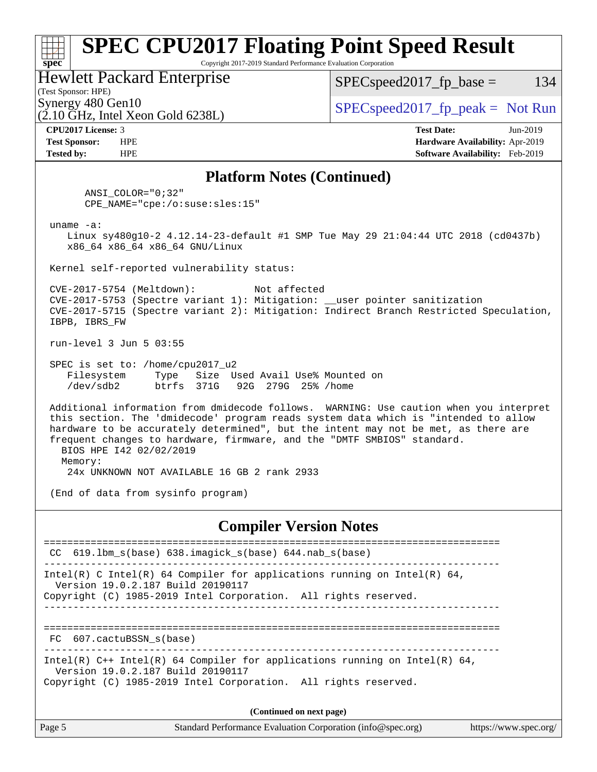### Page 5 Standard Performance Evaluation Corporation [\(info@spec.org\)](mailto:info@spec.org) <https://www.spec.org/> **[spec](http://www.spec.org/) [SPEC CPU2017 Floating Point Speed Result](http://www.spec.org/auto/cpu2017/Docs/result-fields.html#SPECCPU2017FloatingPointSpeedResult)** Copyright 2017-2019 Standard Performance Evaluation Corporation (Test Sponsor: HPE) Hewlett Packard Enterprise  $(2.10 \text{ GHz}, \text{Intel Xeon Gold } 6238L)$ Synergy 480 Gen10  $S^{per}$  [SPECspeed2017\\_fp\\_peak =](http://www.spec.org/auto/cpu2017/Docs/result-fields.html#SPECspeed2017fppeak) Not Run  $SPEC speed2017_fp\_base = 134$ **[CPU2017 License:](http://www.spec.org/auto/cpu2017/Docs/result-fields.html#CPU2017License)** 3 **[Test Date:](http://www.spec.org/auto/cpu2017/Docs/result-fields.html#TestDate)** Jun-2019 **[Test Sponsor:](http://www.spec.org/auto/cpu2017/Docs/result-fields.html#TestSponsor)** HPE **[Hardware Availability:](http://www.spec.org/auto/cpu2017/Docs/result-fields.html#HardwareAvailability)** Apr-2019 **[Tested by:](http://www.spec.org/auto/cpu2017/Docs/result-fields.html#Testedby)** HPE **[Software Availability:](http://www.spec.org/auto/cpu2017/Docs/result-fields.html#SoftwareAvailability)** Feb-2019 **[Platform Notes \(Continued\)](http://www.spec.org/auto/cpu2017/Docs/result-fields.html#PlatformNotes)** ANSI\_COLOR="0;32" CPE\_NAME="cpe:/o:suse:sles:15" uname -a: Linux sy480g10-2 4.12.14-23-default #1 SMP Tue May 29 21:04:44 UTC 2018 (cd0437b) x86\_64 x86\_64 x86\_64 GNU/Linux Kernel self-reported vulnerability status: CVE-2017-5754 (Meltdown): Not affected CVE-2017-5753 (Spectre variant 1): Mitigation: \_\_user pointer sanitization CVE-2017-5715 (Spectre variant 2): Mitigation: Indirect Branch Restricted Speculation, IBPB, IBRS\_FW run-level 3 Jun 5 03:55 SPEC is set to: /home/cpu2017\_u2 Filesystem Type Size Used Avail Use% Mounted on /dev/sdb2 btrfs 371G 92G 279G 25% /home Additional information from dmidecode follows. WARNING: Use caution when you interpret this section. The 'dmidecode' program reads system data which is "intended to allow hardware to be accurately determined", but the intent may not be met, as there are frequent changes to hardware, firmware, and the "DMTF SMBIOS" standard. BIOS HPE I42 02/02/2019 Memory: 24x UNKNOWN NOT AVAILABLE 16 GB 2 rank 2933 (End of data from sysinfo program) **[Compiler Version Notes](http://www.spec.org/auto/cpu2017/Docs/result-fields.html#CompilerVersionNotes)** ============================================================================== CC 619.lbm\_s(base) 638.imagick\_s(base) 644.nab\_s(base) ------------------------------------------------------------------------------ Intel(R) C Intel(R) 64 Compiler for applications running on Intel(R)  $64$ , Version 19.0.2.187 Build 20190117 Copyright (C) 1985-2019 Intel Corporation. All rights reserved. ------------------------------------------------------------------------------ ============================================================================== FC 607.cactuBSSN\_s(base) ------------------------------------------------------------------------------ Intel(R) C++ Intel(R) 64 Compiler for applications running on Intel(R) 64, Version 19.0.2.187 Build 20190117 Copyright (C) 1985-2019 Intel Corporation. All rights reserved. **(Continued on next page)**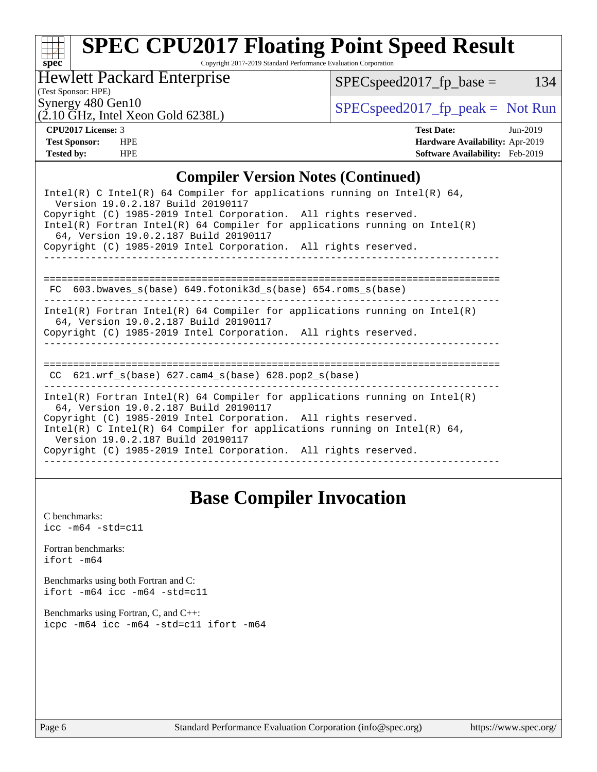# **[spec](http://www.spec.org/)**

# **[SPEC CPU2017 Floating Point Speed Result](http://www.spec.org/auto/cpu2017/Docs/result-fields.html#SPECCPU2017FloatingPointSpeedResult)**

Copyright 2017-2019 Standard Performance Evaluation Corporation

Hewlett Packard Enterprise

 $SPEC speed2017_fp\_base = 134$ 

(Test Sponsor: HPE)

Synergy 480 Gen10<br>  $SPEC speed2017<sub>rfp</sub> peak = Not Run$ 

# (2.10 GHz, Intel Xeon Gold 6238L)

**[CPU2017 License:](http://www.spec.org/auto/cpu2017/Docs/result-fields.html#CPU2017License)** 3 **[Test Date:](http://www.spec.org/auto/cpu2017/Docs/result-fields.html#TestDate)** Jun-2019 **[Test Sponsor:](http://www.spec.org/auto/cpu2017/Docs/result-fields.html#TestSponsor)** HPE **[Hardware Availability:](http://www.spec.org/auto/cpu2017/Docs/result-fields.html#HardwareAvailability)** Apr-2019 **[Tested by:](http://www.spec.org/auto/cpu2017/Docs/result-fields.html#Testedby)** HPE **[Software Availability:](http://www.spec.org/auto/cpu2017/Docs/result-fields.html#SoftwareAvailability)** Feb-2019

### **[Compiler Version Notes \(Continued\)](http://www.spec.org/auto/cpu2017/Docs/result-fields.html#CompilerVersionNotes)**

| Intel(R) C Intel(R) 64 Compiler for applications running on Intel(R) 64,<br>Version 19.0.2.187 Build 20190117<br>Copyright (C) 1985-2019 Intel Corporation. All rights reserved.<br>$Intel(R)$ Fortran Intel(R) 64 Compiler for applications running on Intel(R)<br>64, Version 19.0.2.187 Build 20190117<br>Copyright (C) 1985-2019 Intel Corporation. All rights reserved. |
|------------------------------------------------------------------------------------------------------------------------------------------------------------------------------------------------------------------------------------------------------------------------------------------------------------------------------------------------------------------------------|
| 603.bwaves s(base) 649.fotonik3d s(base) 654.roms s(base)<br>FC.                                                                                                                                                                                                                                                                                                             |
| Intel(R) Fortran Intel(R) 64 Compiler for applications running on Intel(R)<br>64, Version 19.0.2.187 Build 20190117<br>Copyright (C) 1985-2019 Intel Corporation. All rights reserved.                                                                                                                                                                                       |
| CC $621.$ wrf $s(base)$ $627.$ cam4 $s(base)$ $628.$ pop2 $s(base)$                                                                                                                                                                                                                                                                                                          |
| Intel(R) Fortran Intel(R) 64 Compiler for applications running on Intel(R)<br>64, Version 19.0.2.187 Build 20190117<br>Copyright (C) 1985-2019 Intel Corporation. All rights reserved.<br>Intel(R) C Intel(R) 64 Compiler for applications running on Intel(R) 64,<br>Version 19.0.2.187 Build 20190117<br>Copyright (C) 1985-2019 Intel Corporation. All rights reserved.   |

## **[Base Compiler Invocation](http://www.spec.org/auto/cpu2017/Docs/result-fields.html#BaseCompilerInvocation)**

[C benchmarks](http://www.spec.org/auto/cpu2017/Docs/result-fields.html#Cbenchmarks):  $\text{icc}$  -m64 -std=c11 [Fortran benchmarks](http://www.spec.org/auto/cpu2017/Docs/result-fields.html#Fortranbenchmarks): [ifort -m64](http://www.spec.org/cpu2017/results/res2019q3/cpu2017-20190624-15604.flags.html#user_FCbase_intel_ifort_64bit_24f2bb282fbaeffd6157abe4f878425411749daecae9a33200eee2bee2fe76f3b89351d69a8130dd5949958ce389cf37ff59a95e7a40d588e8d3a57e0c3fd751) [Benchmarks using both Fortran and C](http://www.spec.org/auto/cpu2017/Docs/result-fields.html#BenchmarksusingbothFortranandC): [ifort -m64](http://www.spec.org/cpu2017/results/res2019q3/cpu2017-20190624-15604.flags.html#user_CC_FCbase_intel_ifort_64bit_24f2bb282fbaeffd6157abe4f878425411749daecae9a33200eee2bee2fe76f3b89351d69a8130dd5949958ce389cf37ff59a95e7a40d588e8d3a57e0c3fd751) [icc -m64 -std=c11](http://www.spec.org/cpu2017/results/res2019q3/cpu2017-20190624-15604.flags.html#user_CC_FCbase_intel_icc_64bit_c11_33ee0cdaae7deeeab2a9725423ba97205ce30f63b9926c2519791662299b76a0318f32ddfffdc46587804de3178b4f9328c46fa7c2b0cd779d7a61945c91cd35) [Benchmarks using Fortran, C, and C++:](http://www.spec.org/auto/cpu2017/Docs/result-fields.html#BenchmarksusingFortranCandCXX) [icpc -m64](http://www.spec.org/cpu2017/results/res2019q3/cpu2017-20190624-15604.flags.html#user_CC_CXX_FCbase_intel_icpc_64bit_4ecb2543ae3f1412ef961e0650ca070fec7b7afdcd6ed48761b84423119d1bf6bdf5cad15b44d48e7256388bc77273b966e5eb805aefd121eb22e9299b2ec9d9) [icc -m64 -std=c11](http://www.spec.org/cpu2017/results/res2019q3/cpu2017-20190624-15604.flags.html#user_CC_CXX_FCbase_intel_icc_64bit_c11_33ee0cdaae7deeeab2a9725423ba97205ce30f63b9926c2519791662299b76a0318f32ddfffdc46587804de3178b4f9328c46fa7c2b0cd779d7a61945c91cd35) [ifort -m64](http://www.spec.org/cpu2017/results/res2019q3/cpu2017-20190624-15604.flags.html#user_CC_CXX_FCbase_intel_ifort_64bit_24f2bb282fbaeffd6157abe4f878425411749daecae9a33200eee2bee2fe76f3b89351d69a8130dd5949958ce389cf37ff59a95e7a40d588e8d3a57e0c3fd751)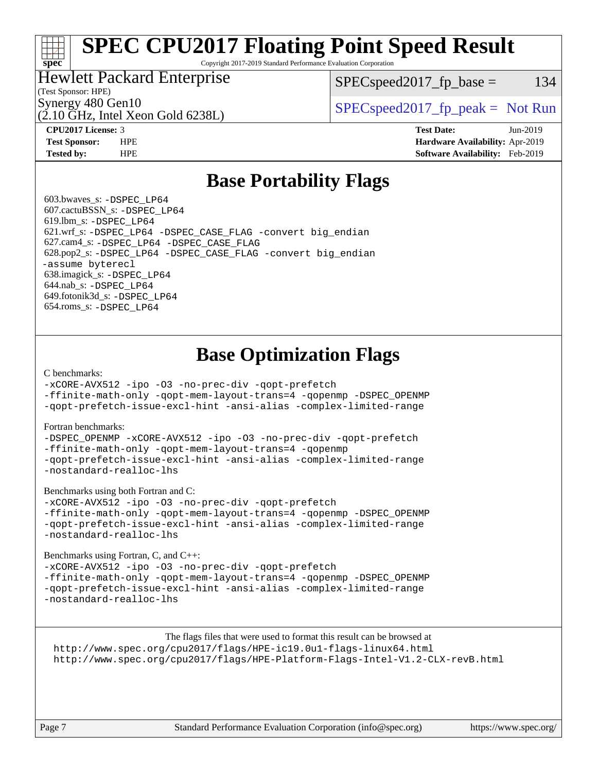# **[SPEC CPU2017 Floating Point Speed Result](http://www.spec.org/auto/cpu2017/Docs/result-fields.html#SPECCPU2017FloatingPointSpeedResult)**

Copyright 2017-2019 Standard Performance Evaluation Corporation

### Hewlett Packard Enterprise

 $SPEC speed2017_fp\_base = 134$ 

### (Test Sponsor: HPE)

(2.10 GHz, Intel Xeon Gold 6238L)

Synergy 480 Gen10  $S^{per}$  [SPECspeed2017\\_fp\\_peak =](http://www.spec.org/auto/cpu2017/Docs/result-fields.html#SPECspeed2017fppeak) Not Run

**[spec](http://www.spec.org/)**

**[CPU2017 License:](http://www.spec.org/auto/cpu2017/Docs/result-fields.html#CPU2017License)** 3 **[Test Date:](http://www.spec.org/auto/cpu2017/Docs/result-fields.html#TestDate)** Jun-2019 **[Test Sponsor:](http://www.spec.org/auto/cpu2017/Docs/result-fields.html#TestSponsor)** HPE **[Hardware Availability:](http://www.spec.org/auto/cpu2017/Docs/result-fields.html#HardwareAvailability)** Apr-2019 **[Tested by:](http://www.spec.org/auto/cpu2017/Docs/result-fields.html#Testedby)** HPE **[Software Availability:](http://www.spec.org/auto/cpu2017/Docs/result-fields.html#SoftwareAvailability)** Feb-2019

### **[Base Portability Flags](http://www.spec.org/auto/cpu2017/Docs/result-fields.html#BasePortabilityFlags)**

 603.bwaves\_s: [-DSPEC\\_LP64](http://www.spec.org/cpu2017/results/res2019q3/cpu2017-20190624-15604.flags.html#suite_basePORTABILITY603_bwaves_s_DSPEC_LP64) 607.cactuBSSN\_s: [-DSPEC\\_LP64](http://www.spec.org/cpu2017/results/res2019q3/cpu2017-20190624-15604.flags.html#suite_basePORTABILITY607_cactuBSSN_s_DSPEC_LP64) 619.lbm\_s: [-DSPEC\\_LP64](http://www.spec.org/cpu2017/results/res2019q3/cpu2017-20190624-15604.flags.html#suite_basePORTABILITY619_lbm_s_DSPEC_LP64) 621.wrf\_s: [-DSPEC\\_LP64](http://www.spec.org/cpu2017/results/res2019q3/cpu2017-20190624-15604.flags.html#suite_basePORTABILITY621_wrf_s_DSPEC_LP64) [-DSPEC\\_CASE\\_FLAG](http://www.spec.org/cpu2017/results/res2019q3/cpu2017-20190624-15604.flags.html#b621.wrf_s_baseCPORTABILITY_DSPEC_CASE_FLAG) [-convert big\\_endian](http://www.spec.org/cpu2017/results/res2019q3/cpu2017-20190624-15604.flags.html#user_baseFPORTABILITY621_wrf_s_convert_big_endian_c3194028bc08c63ac5d04de18c48ce6d347e4e562e8892b8bdbdc0214820426deb8554edfa529a3fb25a586e65a3d812c835984020483e7e73212c4d31a38223) 627.cam4\_s: [-DSPEC\\_LP64](http://www.spec.org/cpu2017/results/res2019q3/cpu2017-20190624-15604.flags.html#suite_basePORTABILITY627_cam4_s_DSPEC_LP64) [-DSPEC\\_CASE\\_FLAG](http://www.spec.org/cpu2017/results/res2019q3/cpu2017-20190624-15604.flags.html#b627.cam4_s_baseCPORTABILITY_DSPEC_CASE_FLAG) 628.pop2\_s: [-DSPEC\\_LP64](http://www.spec.org/cpu2017/results/res2019q3/cpu2017-20190624-15604.flags.html#suite_basePORTABILITY628_pop2_s_DSPEC_LP64) [-DSPEC\\_CASE\\_FLAG](http://www.spec.org/cpu2017/results/res2019q3/cpu2017-20190624-15604.flags.html#b628.pop2_s_baseCPORTABILITY_DSPEC_CASE_FLAG) [-convert big\\_endian](http://www.spec.org/cpu2017/results/res2019q3/cpu2017-20190624-15604.flags.html#user_baseFPORTABILITY628_pop2_s_convert_big_endian_c3194028bc08c63ac5d04de18c48ce6d347e4e562e8892b8bdbdc0214820426deb8554edfa529a3fb25a586e65a3d812c835984020483e7e73212c4d31a38223) [-assume byterecl](http://www.spec.org/cpu2017/results/res2019q3/cpu2017-20190624-15604.flags.html#user_baseFPORTABILITY628_pop2_s_assume_byterecl_7e47d18b9513cf18525430bbf0f2177aa9bf368bc7a059c09b2c06a34b53bd3447c950d3f8d6c70e3faf3a05c8557d66a5798b567902e8849adc142926523472) 638.imagick\_s: [-DSPEC\\_LP64](http://www.spec.org/cpu2017/results/res2019q3/cpu2017-20190624-15604.flags.html#suite_basePORTABILITY638_imagick_s_DSPEC_LP64) 644.nab\_s: [-DSPEC\\_LP64](http://www.spec.org/cpu2017/results/res2019q3/cpu2017-20190624-15604.flags.html#suite_basePORTABILITY644_nab_s_DSPEC_LP64) 649.fotonik3d\_s: [-DSPEC\\_LP64](http://www.spec.org/cpu2017/results/res2019q3/cpu2017-20190624-15604.flags.html#suite_basePORTABILITY649_fotonik3d_s_DSPEC_LP64) 654.roms\_s: [-DSPEC\\_LP64](http://www.spec.org/cpu2017/results/res2019q3/cpu2017-20190624-15604.flags.html#suite_basePORTABILITY654_roms_s_DSPEC_LP64)

## **[Base Optimization Flags](http://www.spec.org/auto/cpu2017/Docs/result-fields.html#BaseOptimizationFlags)**

### [C benchmarks](http://www.spec.org/auto/cpu2017/Docs/result-fields.html#Cbenchmarks):

[-xCORE-AVX512](http://www.spec.org/cpu2017/results/res2019q3/cpu2017-20190624-15604.flags.html#user_CCbase_f-xCORE-AVX512) [-ipo](http://www.spec.org/cpu2017/results/res2019q3/cpu2017-20190624-15604.flags.html#user_CCbase_f-ipo) [-O3](http://www.spec.org/cpu2017/results/res2019q3/cpu2017-20190624-15604.flags.html#user_CCbase_f-O3) [-no-prec-div](http://www.spec.org/cpu2017/results/res2019q3/cpu2017-20190624-15604.flags.html#user_CCbase_f-no-prec-div) [-qopt-prefetch](http://www.spec.org/cpu2017/results/res2019q3/cpu2017-20190624-15604.flags.html#user_CCbase_f-qopt-prefetch)

[-ffinite-math-only](http://www.spec.org/cpu2017/results/res2019q3/cpu2017-20190624-15604.flags.html#user_CCbase_f_finite_math_only_cb91587bd2077682c4b38af759c288ed7c732db004271a9512da14a4f8007909a5f1427ecbf1a0fb78ff2a814402c6114ac565ca162485bbcae155b5e4258871) [-qopt-mem-layout-trans=4](http://www.spec.org/cpu2017/results/res2019q3/cpu2017-20190624-15604.flags.html#user_CCbase_f-qopt-mem-layout-trans_fa39e755916c150a61361b7846f310bcdf6f04e385ef281cadf3647acec3f0ae266d1a1d22d972a7087a248fd4e6ca390a3634700869573d231a252c784941a8) [-qopenmp](http://www.spec.org/cpu2017/results/res2019q3/cpu2017-20190624-15604.flags.html#user_CCbase_qopenmp_16be0c44f24f464004c6784a7acb94aca937f053568ce72f94b139a11c7c168634a55f6653758ddd83bcf7b8463e8028bb0b48b77bcddc6b78d5d95bb1df2967) [-DSPEC\\_OPENMP](http://www.spec.org/cpu2017/results/res2019q3/cpu2017-20190624-15604.flags.html#suite_CCbase_DSPEC_OPENMP) [-qopt-prefetch-issue-excl-hint](http://www.spec.org/cpu2017/results/res2019q3/cpu2017-20190624-15604.flags.html#user_CCbase_f-qopt-prefetch-issue-excl-hint) [-ansi-alias](http://www.spec.org/cpu2017/results/res2019q3/cpu2017-20190624-15604.flags.html#user_CCbase_f-ansi-alias) [-complex-limited-range](http://www.spec.org/cpu2017/results/res2019q3/cpu2017-20190624-15604.flags.html#user_CCbase_f-complex-limited-range)

### [Fortran benchmarks](http://www.spec.org/auto/cpu2017/Docs/result-fields.html#Fortranbenchmarks):

[-DSPEC\\_OPENMP](http://www.spec.org/cpu2017/results/res2019q3/cpu2017-20190624-15604.flags.html#suite_FCbase_DSPEC_OPENMP) [-xCORE-AVX512](http://www.spec.org/cpu2017/results/res2019q3/cpu2017-20190624-15604.flags.html#user_FCbase_f-xCORE-AVX512) [-ipo](http://www.spec.org/cpu2017/results/res2019q3/cpu2017-20190624-15604.flags.html#user_FCbase_f-ipo) [-O3](http://www.spec.org/cpu2017/results/res2019q3/cpu2017-20190624-15604.flags.html#user_FCbase_f-O3) [-no-prec-div](http://www.spec.org/cpu2017/results/res2019q3/cpu2017-20190624-15604.flags.html#user_FCbase_f-no-prec-div) [-qopt-prefetch](http://www.spec.org/cpu2017/results/res2019q3/cpu2017-20190624-15604.flags.html#user_FCbase_f-qopt-prefetch) [-ffinite-math-only](http://www.spec.org/cpu2017/results/res2019q3/cpu2017-20190624-15604.flags.html#user_FCbase_f_finite_math_only_cb91587bd2077682c4b38af759c288ed7c732db004271a9512da14a4f8007909a5f1427ecbf1a0fb78ff2a814402c6114ac565ca162485bbcae155b5e4258871) [-qopt-mem-layout-trans=4](http://www.spec.org/cpu2017/results/res2019q3/cpu2017-20190624-15604.flags.html#user_FCbase_f-qopt-mem-layout-trans_fa39e755916c150a61361b7846f310bcdf6f04e385ef281cadf3647acec3f0ae266d1a1d22d972a7087a248fd4e6ca390a3634700869573d231a252c784941a8) [-qopenmp](http://www.spec.org/cpu2017/results/res2019q3/cpu2017-20190624-15604.flags.html#user_FCbase_qopenmp_16be0c44f24f464004c6784a7acb94aca937f053568ce72f94b139a11c7c168634a55f6653758ddd83bcf7b8463e8028bb0b48b77bcddc6b78d5d95bb1df2967) [-qopt-prefetch-issue-excl-hint](http://www.spec.org/cpu2017/results/res2019q3/cpu2017-20190624-15604.flags.html#user_FCbase_f-qopt-prefetch-issue-excl-hint) [-ansi-alias](http://www.spec.org/cpu2017/results/res2019q3/cpu2017-20190624-15604.flags.html#user_FCbase_f-ansi-alias) [-complex-limited-range](http://www.spec.org/cpu2017/results/res2019q3/cpu2017-20190624-15604.flags.html#user_FCbase_f-complex-limited-range) [-nostandard-realloc-lhs](http://www.spec.org/cpu2017/results/res2019q3/cpu2017-20190624-15604.flags.html#user_FCbase_f_2003_std_realloc_82b4557e90729c0f113870c07e44d33d6f5a304b4f63d4c15d2d0f1fab99f5daaed73bdb9275d9ae411527f28b936061aa8b9c8f2d63842963b95c9dd6426b8a)

[Benchmarks using both Fortran and C](http://www.spec.org/auto/cpu2017/Docs/result-fields.html#BenchmarksusingbothFortranandC):

[-xCORE-AVX512](http://www.spec.org/cpu2017/results/res2019q3/cpu2017-20190624-15604.flags.html#user_CC_FCbase_f-xCORE-AVX512) [-ipo](http://www.spec.org/cpu2017/results/res2019q3/cpu2017-20190624-15604.flags.html#user_CC_FCbase_f-ipo) [-O3](http://www.spec.org/cpu2017/results/res2019q3/cpu2017-20190624-15604.flags.html#user_CC_FCbase_f-O3) [-no-prec-div](http://www.spec.org/cpu2017/results/res2019q3/cpu2017-20190624-15604.flags.html#user_CC_FCbase_f-no-prec-div) [-qopt-prefetch](http://www.spec.org/cpu2017/results/res2019q3/cpu2017-20190624-15604.flags.html#user_CC_FCbase_f-qopt-prefetch) [-ffinite-math-only](http://www.spec.org/cpu2017/results/res2019q3/cpu2017-20190624-15604.flags.html#user_CC_FCbase_f_finite_math_only_cb91587bd2077682c4b38af759c288ed7c732db004271a9512da14a4f8007909a5f1427ecbf1a0fb78ff2a814402c6114ac565ca162485bbcae155b5e4258871) [-qopt-mem-layout-trans=4](http://www.spec.org/cpu2017/results/res2019q3/cpu2017-20190624-15604.flags.html#user_CC_FCbase_f-qopt-mem-layout-trans_fa39e755916c150a61361b7846f310bcdf6f04e385ef281cadf3647acec3f0ae266d1a1d22d972a7087a248fd4e6ca390a3634700869573d231a252c784941a8) [-qopenmp](http://www.spec.org/cpu2017/results/res2019q3/cpu2017-20190624-15604.flags.html#user_CC_FCbase_qopenmp_16be0c44f24f464004c6784a7acb94aca937f053568ce72f94b139a11c7c168634a55f6653758ddd83bcf7b8463e8028bb0b48b77bcddc6b78d5d95bb1df2967) [-DSPEC\\_OPENMP](http://www.spec.org/cpu2017/results/res2019q3/cpu2017-20190624-15604.flags.html#suite_CC_FCbase_DSPEC_OPENMP) [-qopt-prefetch-issue-excl-hint](http://www.spec.org/cpu2017/results/res2019q3/cpu2017-20190624-15604.flags.html#user_CC_FCbase_f-qopt-prefetch-issue-excl-hint) [-ansi-alias](http://www.spec.org/cpu2017/results/res2019q3/cpu2017-20190624-15604.flags.html#user_CC_FCbase_f-ansi-alias) [-complex-limited-range](http://www.spec.org/cpu2017/results/res2019q3/cpu2017-20190624-15604.flags.html#user_CC_FCbase_f-complex-limited-range) [-nostandard-realloc-lhs](http://www.spec.org/cpu2017/results/res2019q3/cpu2017-20190624-15604.flags.html#user_CC_FCbase_f_2003_std_realloc_82b4557e90729c0f113870c07e44d33d6f5a304b4f63d4c15d2d0f1fab99f5daaed73bdb9275d9ae411527f28b936061aa8b9c8f2d63842963b95c9dd6426b8a)

[Benchmarks using Fortran, C, and C++:](http://www.spec.org/auto/cpu2017/Docs/result-fields.html#BenchmarksusingFortranCandCXX)

[-xCORE-AVX512](http://www.spec.org/cpu2017/results/res2019q3/cpu2017-20190624-15604.flags.html#user_CC_CXX_FCbase_f-xCORE-AVX512) [-ipo](http://www.spec.org/cpu2017/results/res2019q3/cpu2017-20190624-15604.flags.html#user_CC_CXX_FCbase_f-ipo) [-O3](http://www.spec.org/cpu2017/results/res2019q3/cpu2017-20190624-15604.flags.html#user_CC_CXX_FCbase_f-O3) [-no-prec-div](http://www.spec.org/cpu2017/results/res2019q3/cpu2017-20190624-15604.flags.html#user_CC_CXX_FCbase_f-no-prec-div) [-qopt-prefetch](http://www.spec.org/cpu2017/results/res2019q3/cpu2017-20190624-15604.flags.html#user_CC_CXX_FCbase_f-qopt-prefetch) [-ffinite-math-only](http://www.spec.org/cpu2017/results/res2019q3/cpu2017-20190624-15604.flags.html#user_CC_CXX_FCbase_f_finite_math_only_cb91587bd2077682c4b38af759c288ed7c732db004271a9512da14a4f8007909a5f1427ecbf1a0fb78ff2a814402c6114ac565ca162485bbcae155b5e4258871) [-qopt-mem-layout-trans=4](http://www.spec.org/cpu2017/results/res2019q3/cpu2017-20190624-15604.flags.html#user_CC_CXX_FCbase_f-qopt-mem-layout-trans_fa39e755916c150a61361b7846f310bcdf6f04e385ef281cadf3647acec3f0ae266d1a1d22d972a7087a248fd4e6ca390a3634700869573d231a252c784941a8) [-qopenmp](http://www.spec.org/cpu2017/results/res2019q3/cpu2017-20190624-15604.flags.html#user_CC_CXX_FCbase_qopenmp_16be0c44f24f464004c6784a7acb94aca937f053568ce72f94b139a11c7c168634a55f6653758ddd83bcf7b8463e8028bb0b48b77bcddc6b78d5d95bb1df2967) [-DSPEC\\_OPENMP](http://www.spec.org/cpu2017/results/res2019q3/cpu2017-20190624-15604.flags.html#suite_CC_CXX_FCbase_DSPEC_OPENMP) [-qopt-prefetch-issue-excl-hint](http://www.spec.org/cpu2017/results/res2019q3/cpu2017-20190624-15604.flags.html#user_CC_CXX_FCbase_f-qopt-prefetch-issue-excl-hint) [-ansi-alias](http://www.spec.org/cpu2017/results/res2019q3/cpu2017-20190624-15604.flags.html#user_CC_CXX_FCbase_f-ansi-alias) [-complex-limited-range](http://www.spec.org/cpu2017/results/res2019q3/cpu2017-20190624-15604.flags.html#user_CC_CXX_FCbase_f-complex-limited-range) [-nostandard-realloc-lhs](http://www.spec.org/cpu2017/results/res2019q3/cpu2017-20190624-15604.flags.html#user_CC_CXX_FCbase_f_2003_std_realloc_82b4557e90729c0f113870c07e44d33d6f5a304b4f63d4c15d2d0f1fab99f5daaed73bdb9275d9ae411527f28b936061aa8b9c8f2d63842963b95c9dd6426b8a)

The flags files that were used to format this result can be browsed at <http://www.spec.org/cpu2017/flags/HPE-ic19.0u1-flags-linux64.html> <http://www.spec.org/cpu2017/flags/HPE-Platform-Flags-Intel-V1.2-CLX-revB.html>